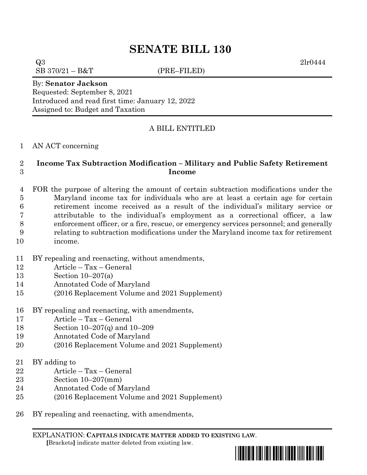$Q3$  2lr0444  $SB\ 370/21 - B&T$  (PRE–FILED)

By: **Senator Jackson** Requested: September 8, 2021 Introduced and read first time: January 12, 2022 Assigned to: Budget and Taxation

# A BILL ENTITLED

## AN ACT concerning

# **Income Tax Subtraction Modification – Military and Public Safety Retirement Income**

 FOR the purpose of altering the amount of certain subtraction modifications under the Maryland income tax for individuals who are at least a certain age for certain retirement income received as a result of the individual's military service or attributable to the individual's employment as a correctional officer, a law enforcement officer, or a fire, rescue, or emergency services personnel; and generally relating to subtraction modifications under the Maryland income tax for retirement income.

- BY repealing and reenacting, without amendments,
- Article Tax General
- Section 10–207(a)
- Annotated Code of Maryland
- (2016 Replacement Volume and 2021 Supplement)
- BY repealing and reenacting, with amendments,
- Article Tax General
- Section 10–207(q) and 10–209
- Annotated Code of Maryland
- (2016 Replacement Volume and 2021 Supplement)
- BY adding to
- Article Tax General
- Section 10–207(mm)
- Annotated Code of Maryland
- (2016 Replacement Volume and 2021 Supplement)
- BY repealing and reenacting, with amendments,

EXPLANATION: **CAPITALS INDICATE MATTER ADDED TO EXISTING LAW**.  **[**Brackets**]** indicate matter deleted from existing law.

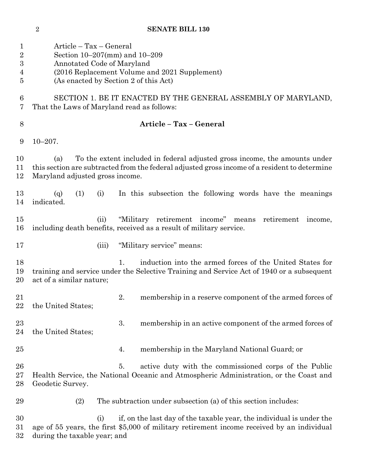Article – Tax – General Section 10–207(mm) and 10–209 Annotated Code of Maryland (2016 Replacement Volume and 2021 Supplement) (As enacted by Section 2 of this Act) SECTION 1. BE IT ENACTED BY THE GENERAL ASSEMBLY OF MARYLAND, That the Laws of Maryland read as follows: **Article – Tax – General** 10–207. (a) To the extent included in federal adjusted gross income, the amounts under this section are subtracted from the federal adjusted gross income of a resident to determine Maryland adjusted gross income. (q) (1) (i) In this subsection the following words have the meanings indicated. (ii) "Military retirement income" means retirement income, including death benefits, received as a result of military service. 17 (iii) "Military service" means: 1. induction into the armed forces of the United States for training and service under the Selective Training and Service Act of 1940 or a subsequent act of a similar nature; 2. membership in a reserve component of the armed forces of 22 the United States: 23 3. membership in an active component of the armed forces of the United States; 4. membership in the Maryland National Guard; or 5. active duty with the commissioned corps of the Public Health Service, the National Oceanic and Atmospheric Administration, or the Coast and Geodetic Survey. (2) The subtraction under subsection (a) of this section includes: (i) if, on the last day of the taxable year, the individual is under the age of 55 years, the first \$5,000 of military retirement income received by an individual during the taxable year; and

**SENATE BILL 130**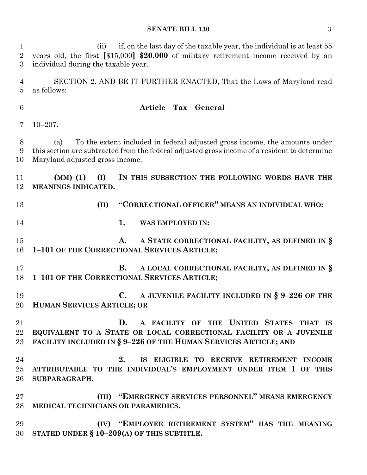| 1<br>$\overline{2}$<br>3 | if, on the last day of the taxable year, the individual is at least 55<br>(i)<br>years old, the first [\$15,000] \$20,000 of military retirement income received by an<br>individual during the taxable year.         |  |  |  |  |  |
|--------------------------|-----------------------------------------------------------------------------------------------------------------------------------------------------------------------------------------------------------------------|--|--|--|--|--|
| $\overline{4}$<br>5      | SECTION 2. AND BE IT FURTHER ENACTED, That the Laws of Maryland read<br>as follows:                                                                                                                                   |  |  |  |  |  |
| $6\phantom{.}6$          | Article - Tax - General                                                                                                                                                                                               |  |  |  |  |  |
| 7                        | $10 - 207.$                                                                                                                                                                                                           |  |  |  |  |  |
| 8<br>9<br>10             | To the extent included in federal adjusted gross income, the amounts under<br>(a)<br>this section are subtracted from the federal adjusted gross income of a resident to determine<br>Maryland adjusted gross income. |  |  |  |  |  |
| 11<br>12                 | $(MM)$ (1)<br>(I)<br>IN THIS SUBSECTION THE FOLLOWING WORDS HAVE THE<br>MEANINGS INDICATED.                                                                                                                           |  |  |  |  |  |
| 13                       | "CORRECTIONAL OFFICER" MEANS AN INDIVIDUAL WHO:<br>(II)                                                                                                                                                               |  |  |  |  |  |
| 14                       | 1.<br>WAS EMPLOYED IN:                                                                                                                                                                                                |  |  |  |  |  |
| 15<br>16                 | A STATE CORRECTIONAL FACILITY, AS DEFINED IN §<br>A.<br>1-101 OF THE CORRECTIONAL SERVICES ARTICLE;                                                                                                                   |  |  |  |  |  |
| 17<br>18                 | A LOCAL CORRECTIONAL FACILITY, AS DEFINED IN §<br><b>B.</b><br>1-101 OF THE CORRECTIONAL SERVICES ARTICLE;                                                                                                            |  |  |  |  |  |
| 19<br>20                 | $\mathbf{C}$ .<br>A JUVENILE FACILITY INCLUDED IN $\S$ 9-226 OF THE<br><b>HUMAN SERVICES ARTICLE; OR</b>                                                                                                              |  |  |  |  |  |
| 21<br>22<br>23           | A FACILITY OF THE UNITED STATES THAT IS<br>D.<br>EQUIVALENT TO A STATE OR LOCAL CORRECTIONAL FACILITY OR A JUVENILE<br>FACILITY INCLUDED IN § 9-226 OF THE HUMAN SERVICES ARTICLE; AND                                |  |  |  |  |  |
| 24<br>25<br>26           | 2.<br>IS ELIGIBLE TO RECEIVE RETIREMENT INCOME<br>ATTRIBUTABLE TO THE INDIVIDUAL'S EMPLOYMENT UNDER ITEM 1 OF THIS<br>SUBPARAGRAPH.                                                                                   |  |  |  |  |  |
| 27<br>28                 | (III) "EMERGENCY SERVICES PERSONNEL" MEANS EMERGENCY<br>MEDICAL TECHNICIANS OR PARAMEDICS.                                                                                                                            |  |  |  |  |  |
| 29<br>30                 | (IV) "EMPLOYEE RETIREMENT SYSTEM" HAS THE MEANING<br>STATED UNDER $\S 10-209(A)$ OF THIS SUBTITLE.                                                                                                                    |  |  |  |  |  |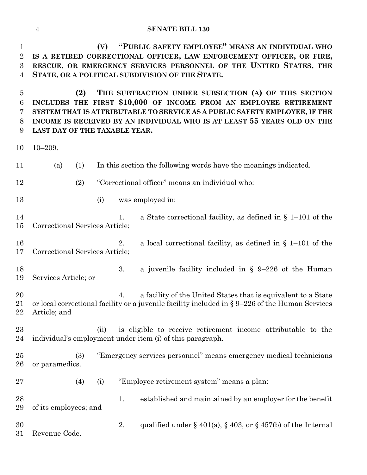**(V) "PUBLIC SAFETY EMPLOYEE" MEANS AN INDIVIDUAL WHO IS A RETIRED CORRECTIONAL OFFICER, LAW ENFORCEMENT OFFICER, OR FIRE, RESCUE, OR EMERGENCY SERVICES PERSONNEL OF THE UNITED STATES, THE STATE, OR A POLITICAL SUBDIVISION OF THE STATE.**

 **(2) THE SUBTRACTION UNDER SUBSECTION (A) OF THIS SECTION INCLUDES THE FIRST \$10,000 OF INCOME FROM AN EMPLOYEE RETIREMENT SYSTEM THAT IS ATTRIBUTABLE TO SERVICE AS A PUBLIC SAFETY EMPLOYEE, IF THE INCOME IS RECEIVED BY AN INDIVIDUAL WHO IS AT LEAST 55 YEARS OLD ON THE LAST DAY OF THE TAXABLE YEAR.**

10–209.

| 11             | (a)                                                                                                                                                                                       | (1) |      |    | In this section the following words have the meanings indicated.                                                          |  |
|----------------|-------------------------------------------------------------------------------------------------------------------------------------------------------------------------------------------|-----|------|----|---------------------------------------------------------------------------------------------------------------------------|--|
| 12             |                                                                                                                                                                                           | (2) |      |    | "Correctional officer" means an individual who:                                                                           |  |
| 13             |                                                                                                                                                                                           |     | (i)  |    | was employed in:                                                                                                          |  |
| 14<br>15       | Correctional Services Article;                                                                                                                                                            |     |      | 1. | a State correctional facility, as defined in $\S$ 1–101 of the                                                            |  |
| 16<br>17       | a local correctional facility, as defined in $\S$ 1-101 of the<br>2.<br>Correctional Services Article;                                                                                    |     |      |    |                                                                                                                           |  |
| 18<br>19       | Services Article; or                                                                                                                                                                      |     |      | 3. | a juvenile facility included in $\S$ 9-226 of the Human                                                                   |  |
| 20<br>21<br>22 | a facility of the United States that is equivalent to a State<br>4.<br>or local correctional facility or a juvenile facility included in $\S 9-226$ of the Human Services<br>Article; and |     |      |    |                                                                                                                           |  |
| 23<br>24       |                                                                                                                                                                                           |     | (ii) |    | is eligible to receive retirement income attributable to the<br>individual's employment under item (i) of this paragraph. |  |
| 25<br>26       | or paramedics.                                                                                                                                                                            | (3) |      |    | "Emergency services personnel" means emergency medical technicians                                                        |  |
| 27             |                                                                                                                                                                                           | (4) | (i)  |    | "Employee retirement system" means a plan:                                                                                |  |
| 28<br>29       | of its employees; and                                                                                                                                                                     |     |      | 1. | established and maintained by an employer for the benefit                                                                 |  |
| 30<br>31       | Revenue Code.                                                                                                                                                                             |     |      | 2. | qualified under § 401(a), § 403, or § 457(b) of the Internal                                                              |  |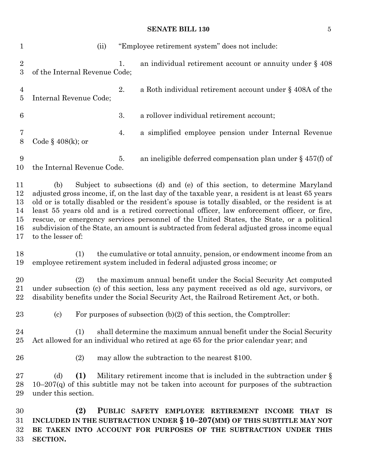(ii) "Employee retirement system" does not include: 2 1. an individual retirement account or annuity under § 408 of the Internal Revenue Code; 2. a Roth individual retirement account under § 408A of the Internal Revenue Code; 3. a rollover individual retirement account; 4. a simplified employee pension under Internal Revenue Code § 408(k); or 5. an ineligible deferred compensation plan under § 457(f) of the Internal Revenue Code. (b) Subject to subsections (d) and (e) of this section, to determine Maryland adjusted gross income, if, on the last day of the taxable year, a resident is at least 65 years old or is totally disabled or the resident's spouse is totally disabled, or the resident is at least 55 years old and is a retired correctional officer, law enforcement officer, or fire, rescue, or emergency services personnel of the United States, the State, or a political subdivision of the State, an amount is subtracted from federal adjusted gross income equal to the lesser of: (1) the cumulative or total annuity, pension, or endowment income from an employee retirement system included in federal adjusted gross income; or (2) the maximum annual benefit under the Social Security Act computed under subsection (c) of this section, less any payment received as old age, survivors, or disability benefits under the Social Security Act, the Railroad Retirement Act, or both. 23 (c) For purposes of subsection  $(b)(2)$  of this section, the Comptroller: (1) shall determine the maximum annual benefit under the Social Security Act allowed for an individual who retired at age 65 for the prior calendar year; and (2) may allow the subtraction to the nearest \$100. 27 (d) **(1)** Military retirement income that is included in the subtraction under § 28 10–207 $(q)$  of this subtitle may not be taken into account for purposes of the subtraction under this section. **(2) PUBLIC SAFETY EMPLOYEE RETIREMENT INCOME THAT IS INCLUDED IN THE SUBTRACTION UNDER § 10–207(MM) OF THIS SUBTITLE MAY NOT BE TAKEN INTO ACCOUNT FOR PURPOSES OF THE SUBTRACTION UNDER THIS** 

**SECTION.**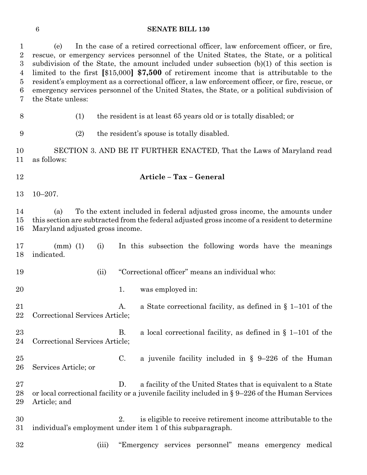(e) In the case of a retired correctional officer, law enforcement officer, or fire, rescue, or emergency services personnel of the United States, the State, or a political subdivision of the State, the amount included under subsection (b)(1) of this section is limited to the first **[**\$15,000**] \$7,500** of retirement income that is attributable to the resident's employment as a correctional officer, a law enforcement officer, or fire, rescue, or emergency services personnel of the United States, the State, or a political subdivision of the State unless:

- 
- (1) the resident is at least 65 years old or is totally disabled; or
- (2) the resident's spouse is totally disabled.

 SECTION 3. AND BE IT FURTHER ENACTED, That the Laws of Maryland read as follows:

- 
- **Article – Tax – General**
- 10–207.

 (a) To the extent included in federal adjusted gross income, the amounts under this section are subtracted from the federal adjusted gross income of a resident to determine Maryland adjusted gross income.

 (mm) (1) (i) In this subsection the following words have the meanings indicated.

(ii) "Correctional officer" means an individual who:

20 1. was employed in:

21 A. a State correctional facility, as defined in § 1–101 of the Correctional Services Article;

 B. a local correctional facility, as defined in § 1–101 of the Correctional Services Article;

 C. a juvenile facility included in § 9–226 of the Human Services Article; or

 D. a facility of the United States that is equivalent to a State or local correctional facility or a juvenile facility included in § 9–226 of the Human Services Article; and

 2. is eligible to receive retirement income attributable to the individual's employment under item 1 of this subparagraph.

- 
- (iii) "Emergency services personnel" means emergency medical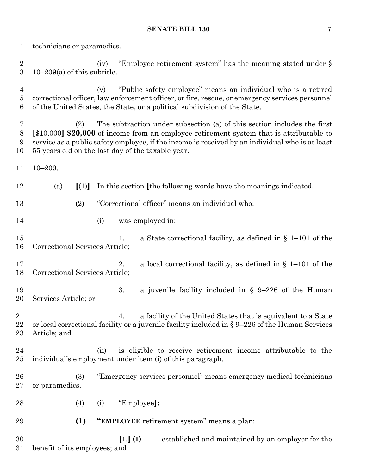| 1                                            | technicians or paramedics.                                                                                                                                                                                                                                                                                                                    |  |  |  |  |  |  |
|----------------------------------------------|-----------------------------------------------------------------------------------------------------------------------------------------------------------------------------------------------------------------------------------------------------------------------------------------------------------------------------------------------|--|--|--|--|--|--|
| $\boldsymbol{2}$<br>$\boldsymbol{3}$         | "Employee retirement system" has the meaning stated under §<br>(iv)<br>$10-209(a)$ of this subtitle.                                                                                                                                                                                                                                          |  |  |  |  |  |  |
| $\overline{4}$<br>$\bf 5$<br>$6\phantom{.}6$ | "Public safety employee" means an individual who is a retired<br>(v)<br>correctional officer, law enforcement officer, or fire, rescue, or emergency services personnel<br>of the United States, the State, or a political subdivision of the State.                                                                                          |  |  |  |  |  |  |
| 7<br>8<br>9<br>10                            | The subtraction under subsection (a) of this section includes the first<br>(2)<br>$\lceil $10,000\rceil $20,000$ of income from an employee retirement system that is attributable to<br>service as a public safety employee, if the income is received by an individual who is at least<br>55 years old on the last day of the taxable year. |  |  |  |  |  |  |
| 11                                           | $10 - 209.$                                                                                                                                                                                                                                                                                                                                   |  |  |  |  |  |  |
| 12                                           | [(1)]<br>In this section [the following words have the meanings indicated.<br>(a)                                                                                                                                                                                                                                                             |  |  |  |  |  |  |
| 13                                           | "Correctional officer" means an individual who:<br>(2)                                                                                                                                                                                                                                                                                        |  |  |  |  |  |  |
| 14                                           | was employed in:<br>(i)                                                                                                                                                                                                                                                                                                                       |  |  |  |  |  |  |
| 15<br>16                                     | a State correctional facility, as defined in $\S$ 1–101 of the<br>1.<br>Correctional Services Article;                                                                                                                                                                                                                                        |  |  |  |  |  |  |
| 17<br>18                                     | 2.<br>a local correctional facility, as defined in $\S$ 1–101 of the<br>Correctional Services Article;                                                                                                                                                                                                                                        |  |  |  |  |  |  |
| 19<br>20                                     | 3.<br>a juvenile facility included in $\S$ 9-226 of the Human<br>Services Article; or                                                                                                                                                                                                                                                         |  |  |  |  |  |  |
| 21<br>22<br>23                               | a facility of the United States that is equivalent to a State<br>4.<br>or local correctional facility or a juvenile facility included in $\S 9-226$ of the Human Services<br>Article; and                                                                                                                                                     |  |  |  |  |  |  |
| 24<br>25                                     | is eligible to receive retirement income attributable to the<br>(ii)<br>individual's employment under item (i) of this paragraph.                                                                                                                                                                                                             |  |  |  |  |  |  |
| 26<br>27                                     | "Emergency services personnel" means emergency medical technicians<br>(3)<br>or paramedics.                                                                                                                                                                                                                                                   |  |  |  |  |  |  |
| 28                                           | "Employee]:<br>(4)<br>(i)                                                                                                                                                                                                                                                                                                                     |  |  |  |  |  |  |
| 29                                           | (1)<br>"EMPLOYEE retirement system" means a plan:                                                                                                                                                                                                                                                                                             |  |  |  |  |  |  |
| 30<br>31                                     | $[1.]$ $(I)$<br>established and maintained by an employer for the<br>benefit of its employees; and                                                                                                                                                                                                                                            |  |  |  |  |  |  |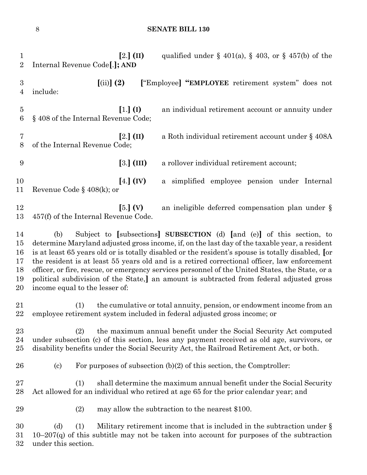**[**2.**] (II)** qualified under § 401(a), § 403, or § 457(b) of the Internal Revenue Code**[**.**]; AND [**(ii)**] (2) [**"Employee**] "EMPLOYEE** retirement system" does not include: **[**1.**] (I)** an individual retirement account or annuity under § 408 of the Internal Revenue Code; **[**2.**] (II)** a Roth individual retirement account under § 408A of the Internal Revenue Code; **[**3.**] (III)** a rollover individual retirement account; **[**4.**] (IV)** a simplified employee pension under Internal Revenue Code § 408(k); or **[**5.**] (V)** an ineligible deferred compensation plan under § 457(f) of the Internal Revenue Code. (b) Subject to **[**subsections**] SUBSECTION** (d) **[**and (e)**]** of this section, to determine Maryland adjusted gross income, if, on the last day of the taxable year, a resident is at least 65 years old or is totally disabled or the resident's spouse is totally disabled, **[**or the resident is at least 55 years old and is a retired correctional officer, law enforcement officer, or fire, rescue, or emergency services personnel of the United States, the State, or a political subdivision of the State,**]** an amount is subtracted from federal adjusted gross income equal to the lesser of: (1) the cumulative or total annuity, pension, or endowment income from an employee retirement system included in federal adjusted gross income; or (2) the maximum annual benefit under the Social Security Act computed under subsection (c) of this section, less any payment received as old age, survivors, or disability benefits under the Social Security Act, the Railroad Retirement Act, or both. 26 (c) For purposes of subsection  $(b)(2)$  of this section, the Comptroller: (1) shall determine the maximum annual benefit under the Social Security Act allowed for an individual who retired at age 65 for the prior calendar year; and (2) may allow the subtraction to the nearest \$100. 30 (d) (1) Military retirement income that is included in the subtraction under  $\S$  10–207(q) of this subtitle may not be taken into account for purposes of the subtraction under this section.